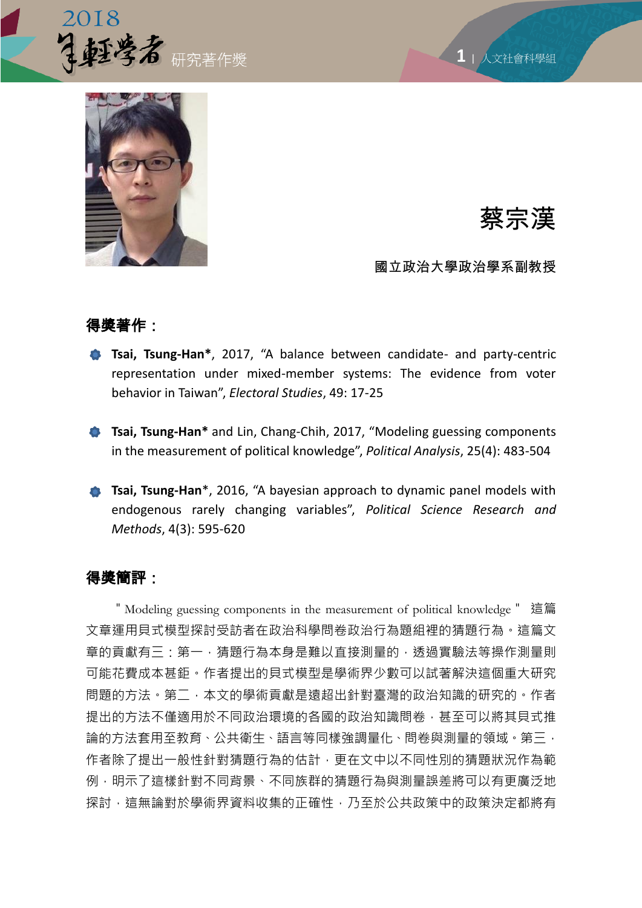

**1** <sup>|</sup> 人文社會科學組



# 蔡宗漢

國立政治大學政治學系副教授

## 得獎著作:

- **Tsai, Tsung-Han\***, 2017, "A balance between candidate- and party-centric representation under mixed-member systems: The evidence from voter behavior in Taiwan", *Electoral Studies*, 49: 17-25
- **Tsai, Tsung-Han\*** and Lin, Chang-Chih, 2017, "Modeling guessing components in the measurement of political knowledge", *Political Analysis*, 25(4): 483-504
- **Tsai, Tsung-Han**<sup>\*</sup>, 2016, "A bayesian approach to dynamic panel models with endogenous rarely changing variables", *Political Science Research and Methods*, 4(3): 595-620

## 得獎簡評:

"Modeling guessing components in the measurement of political knowledge" 這篇 文章運用貝式模型探討受訪者在政治科學問卷政治行為題組裡的猜題行為。這篇文 章的貢獻有三:第一,猜題行為本身是難以直接測量的,透過實驗法等操作測量則 可能花費成本甚鉅。作者提出的貝式模型是學術界少數可以試著解決這個重大研究 問題的方法。第二,本文的學術貢獻是遠超出針對臺灣的政治知識的研究的。作者 提出的方法不僅適用於不同政治環境的各國的政治知識問卷,甚至可以將其貝式推 論的方法套用至教育、公共衛生、語言等同樣強調量化、問卷與測量的領域。第三, 作者除了提出一般性針對猜題行為的估計,更在文中以不同性別的猜題狀況作為範 例,明示了這樣針對不同背景、不同族群的猜題行為與測量誤差將可以有更廣泛地 探討,這無論對於學術界資料收集的正確性,乃至於公共政策中的政策決定都將有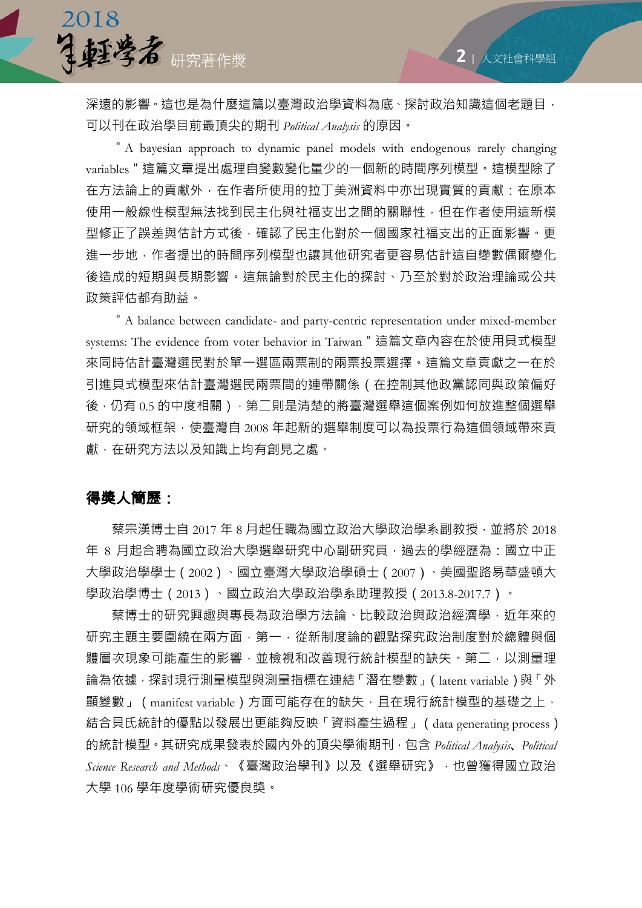深遠的影響。這也是為什麼這篇以臺灣政治學資料為底、探討政治知識這個老題目, 可以刊在政治學目前最頂尖的期刊 *Political Analysis* 的原因。

"A bayesian approach to dynamic panel models with endogenous rarely changing variables"這篇文章提出處理自變數變化量少的一個新的時間序列模型。這模型除了 在方法論上的貢獻外,在作者所使用的拉丁美洲資料中亦出現實質的貢獻:在原本 使用一般線性模型無法找到民主化與社福支出之間的關聯性,但在作者使用這新模 型修正了誤差與估計方式後,確認了民主化對於一個國家社福支出的正面影響。更 進一步地,作者提出的時間序列模型也讓其他研究者更容易估計這自變數偶爾變化 後造成的短期與長期影響。這無論對於民主化的探討、乃至於對於政治理論或公共 政策評估都有助益。

"A balance between candidate- and party-centric representation under mixed-member systems: The evidence from voter behavior in Taiwan"這篇文章內容在於使用貝式模型 來同時估計臺灣選民對於單一選區兩票制的兩票投票選擇。這篇文章貢獻之一在於 引進貝式模型來估計臺灣選民兩票間的連帶關係(在控制其他政黨認同與政策偏好 後,仍有 0.5 的中度相關),第二則是清楚的將臺灣選舉這個案例如何放進整個選舉 研究的領域框架,使臺灣自 2008 年起新的選舉制度可以為投票行為這個領域帶來貢 獻,在研究方法以及知識上均有創見之處。

#### 得獎人簡歷:

2018

研究著作獎

 蔡宗漢博士自 2017 年 8 月起任職為國立政治大學政治學系副教授,並將於 2018 年 8 月起合聘為國立政治大學選舉研究中心副研究員, 過去的學經歷為: 國立中正 大學政治學學士(2002)、國立臺灣大學政治學碩士(2007)、美國聖路易華盛頓大 學政治學博士(2013)、國立政治大學政治學系助理教授(2013.8-2017.7)。

蔡博士的研究興趣與專長為政治學方法論、比較政治與政治經濟學,近年來的 研究主題主要圍繞在兩方面,第一,從新制度論的觀點探究政治制度對於總體與個 體層次現象可能產生的影響,並檢視和改善現行統計模型的缺失。第二,以測量理 論為依據,探討現行測量模型與測量指標在連結「潛在變數」(latent variable)與「外 顯變數」 (manifest variable) 方面可能存在的缺失, 且在現行統計模型的基礎之上, 結合貝氏統計的優點以發展出更能夠反映「資料產生過程」(data generating process) 的統計模型。其研究成果發表於國內外的頂尖學術期刊,包含 *Political Analysis*、*Political Science Research and Methods*、《臺灣政治學刊》以及《選舉研究》,也曾獲得國立政治 大學 106 學年度學術研究優良獎。